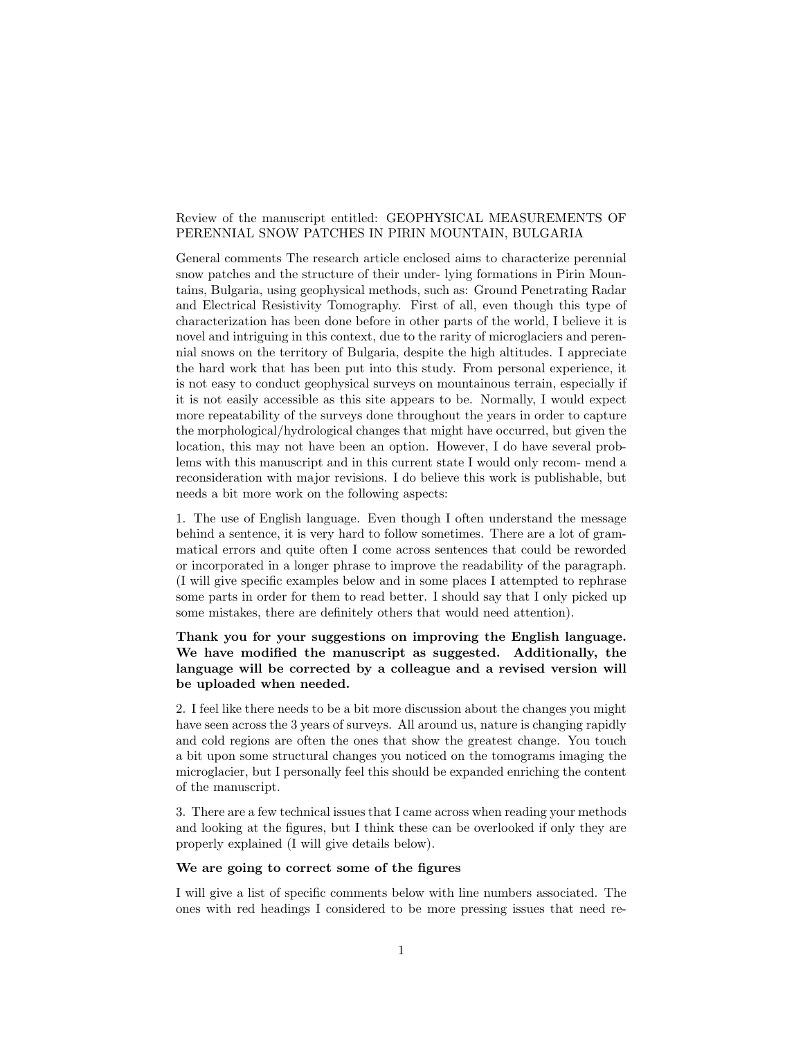# Review of the manuscript entitled: GEOPHYSICAL MEASUREMENTS OF PERENNIAL SNOW PATCHES IN PIRIN MOUNTAIN, BULGARIA

General comments The research article enclosed aims to characterize perennial snow patches and the structure of their under- lying formations in Pirin Mountains, Bulgaria, using geophysical methods, such as: Ground Penetrating Radar and Electrical Resistivity Tomography. First of all, even though this type of characterization has been done before in other parts of the world, I believe it is novel and intriguing in this context, due to the rarity of microglaciers and perennial snows on the territory of Bulgaria, despite the high altitudes. I appreciate the hard work that has been put into this study. From personal experience, it is not easy to conduct geophysical surveys on mountainous terrain, especially if it is not easily accessible as this site appears to be. Normally, I would expect more repeatability of the surveys done throughout the years in order to capture the morphological/hydrological changes that might have occurred, but given the location, this may not have been an option. However, I do have several problems with this manuscript and in this current state I would only recom- mend a reconsideration with major revisions. I do believe this work is publishable, but needs a bit more work on the following aspects:

1. The use of English language. Even though I often understand the message behind a sentence, it is very hard to follow sometimes. There are a lot of grammatical errors and quite often I come across sentences that could be reworded or incorporated in a longer phrase to improve the readability of the paragraph. (I will give specific examples below and in some places I attempted to rephrase some parts in order for them to read better. I should say that I only picked up some mistakes, there are definitely others that would need attention).

# Thank you for your suggestions on improving the English language. We have modified the manuscript as suggested. Additionally, the language will be corrected by a colleague and a revised version will be uploaded when needed.

2. I feel like there needs to be a bit more discussion about the changes you might have seen across the 3 years of surveys. All around us, nature is changing rapidly and cold regions are often the ones that show the greatest change. You touch a bit upon some structural changes you noticed on the tomograms imaging the microglacier, but I personally feel this should be expanded enriching the content of the manuscript.

3. There are a few technical issues that I came across when reading your methods and looking at the figures, but I think these can be overlooked if only they are properly explained (I will give details below).

#### We are going to correct some of the figures

I will give a list of specific comments below with line numbers associated. The ones with red headings I considered to be more pressing issues that need re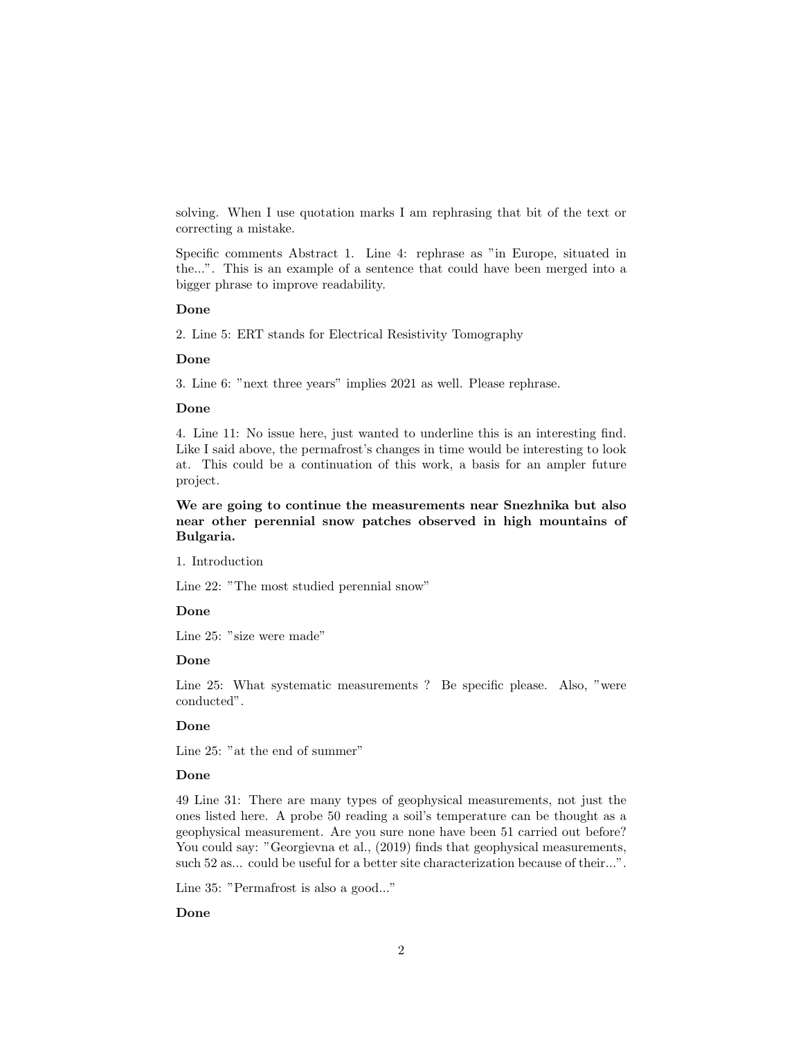solving. When I use quotation marks I am rephrasing that bit of the text or correcting a mistake.

Specific comments Abstract 1. Line 4: rephrase as "in Europe, situated in the...". This is an example of a sentence that could have been merged into a bigger phrase to improve readability.

#### Done

2. Line 5: ERT stands for Electrical Resistivity Tomography

#### Done

3. Line 6: "next three years" implies 2021 as well. Please rephrase.

## Done

4. Line 11: No issue here, just wanted to underline this is an interesting find. Like I said above, the permafrost's changes in time would be interesting to look at. This could be a continuation of this work, a basis for an ampler future project.

We are going to continue the measurements near Snezhnika but also near other perennial snow patches observed in high mountains of Bulgaria.

1. Introduction

Line 22: "The most studied perennial snow"

## Done

Line 25: "size were made"

#### Done

Line 25: What systematic measurements ? Be specific please. Also, "were conducted".

#### Done

Line 25: "at the end of summer"

## Done

49 Line 31: There are many types of geophysical measurements, not just the ones listed here. A probe 50 reading a soil's temperature can be thought as a geophysical measurement. Are you sure none have been 51 carried out before? You could say: "Georgievna et al.,  $(2019)$  finds that geophysical measurements, such 52 as... could be useful for a better site characterization because of their...".

Line 35: "Permafrost is also a good..."

#### Done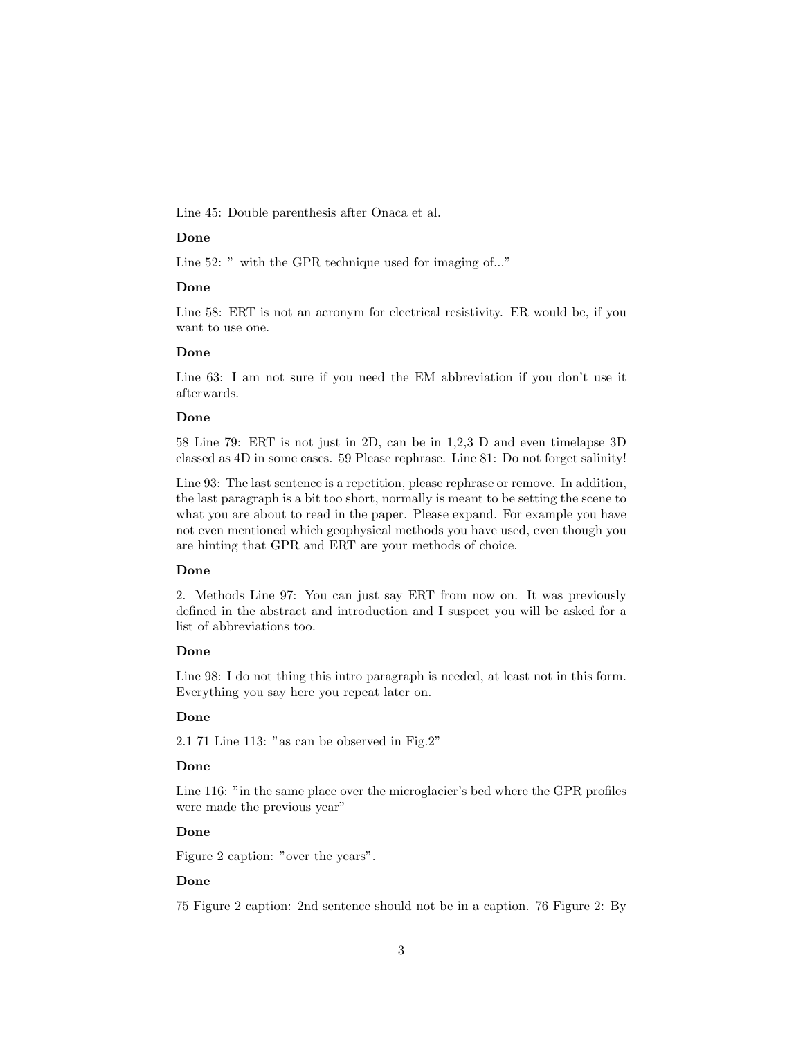Line 45: Double parenthesis after Onaca et al.

### Done

Line 52: " with the GPR technique used for imaging of..."

# Done

Line 58: ERT is not an acronym for electrical resistivity. ER would be, if you want to use one.

### Done

Line 63: I am not sure if you need the EM abbreviation if you don't use it afterwards.

## Done

58 Line 79: ERT is not just in 2D, can be in 1,2,3 D and even timelapse 3D classed as 4D in some cases. 59 Please rephrase. Line 81: Do not forget salinity!

Line 93: The last sentence is a repetition, please rephrase or remove. In addition, the last paragraph is a bit too short, normally is meant to be setting the scene to what you are about to read in the paper. Please expand. For example you have not even mentioned which geophysical methods you have used, even though you are hinting that GPR and ERT are your methods of choice.

### Done

2. Methods Line 97: You can just say ERT from now on. It was previously defined in the abstract and introduction and I suspect you will be asked for a list of abbreviations too.

# Done

Line 98: I do not thing this intro paragraph is needed, at least not in this form. Everything you say here you repeat later on.

# Done

2.1 71 Line 113: "as can be observed in Fig.2"

# Done

Line 116: "in the same place over the microglacier's bed where the GPR profiles were made the previous year"

#### Done

Figure 2 caption: "over the years".

#### Done

75 Figure 2 caption: 2nd sentence should not be in a caption. 76 Figure 2: By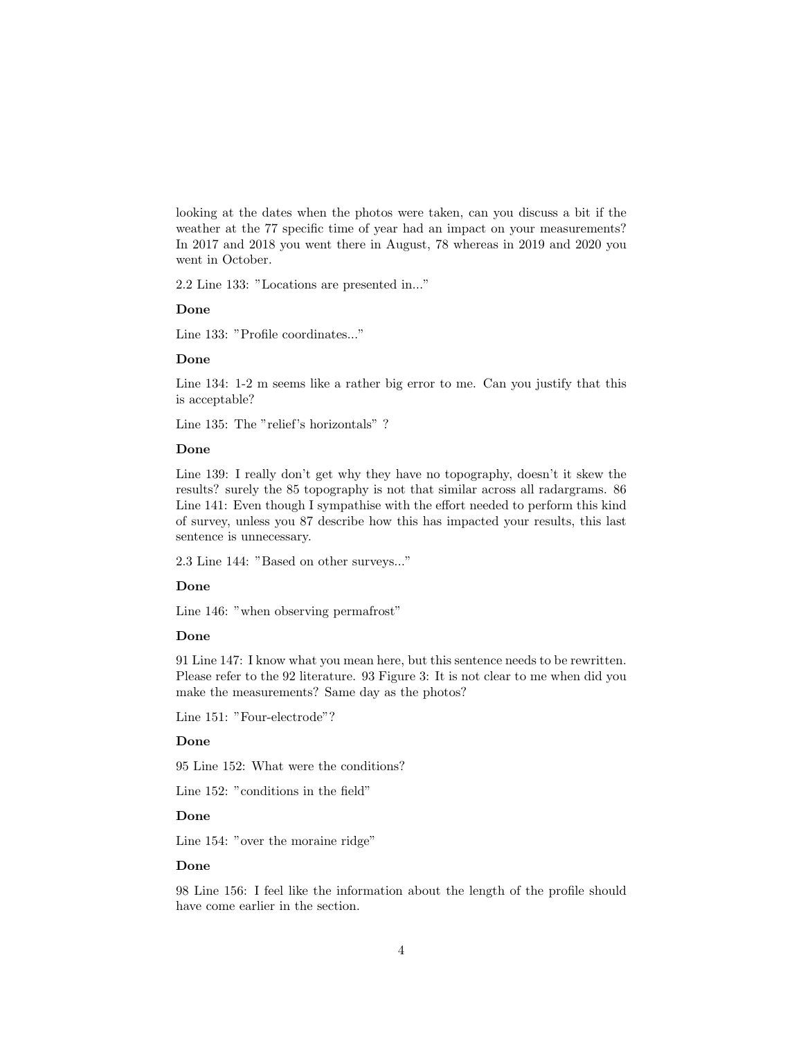looking at the dates when the photos were taken, can you discuss a bit if the weather at the 77 specific time of year had an impact on your measurements? In 2017 and 2018 you went there in August, 78 whereas in 2019 and 2020 you went in October.

2.2 Line 133: "Locations are presented in..."

### Done

Line 133: "Profile coordinates..."

#### Done

Line 134: 1-2 m seems like a rather big error to me. Can you justify that this is acceptable?

Line 135: The "relief's horizontals" ?

#### Done

Line 139: I really don't get why they have no topography, doesn't it skew the results? surely the 85 topography is not that similar across all radargrams. 86 Line 141: Even though I sympathise with the effort needed to perform this kind of survey, unless you 87 describe how this has impacted your results, this last sentence is unnecessary.

2.3 Line 144: "Based on other surveys..."

# Done

Line 146: "when observing permafrost"

#### Done

91 Line 147: I know what you mean here, but this sentence needs to be rewritten. Please refer to the 92 literature. 93 Figure 3: It is not clear to me when did you make the measurements? Same day as the photos?

Line 151: "Four-electrode"?

# Done

95 Line 152: What were the conditions?

Line 152: "conditions in the field"

#### Done

Line 154: "over the moraine ridge"

# Done

98 Line 156: I feel like the information about the length of the profile should have come earlier in the section.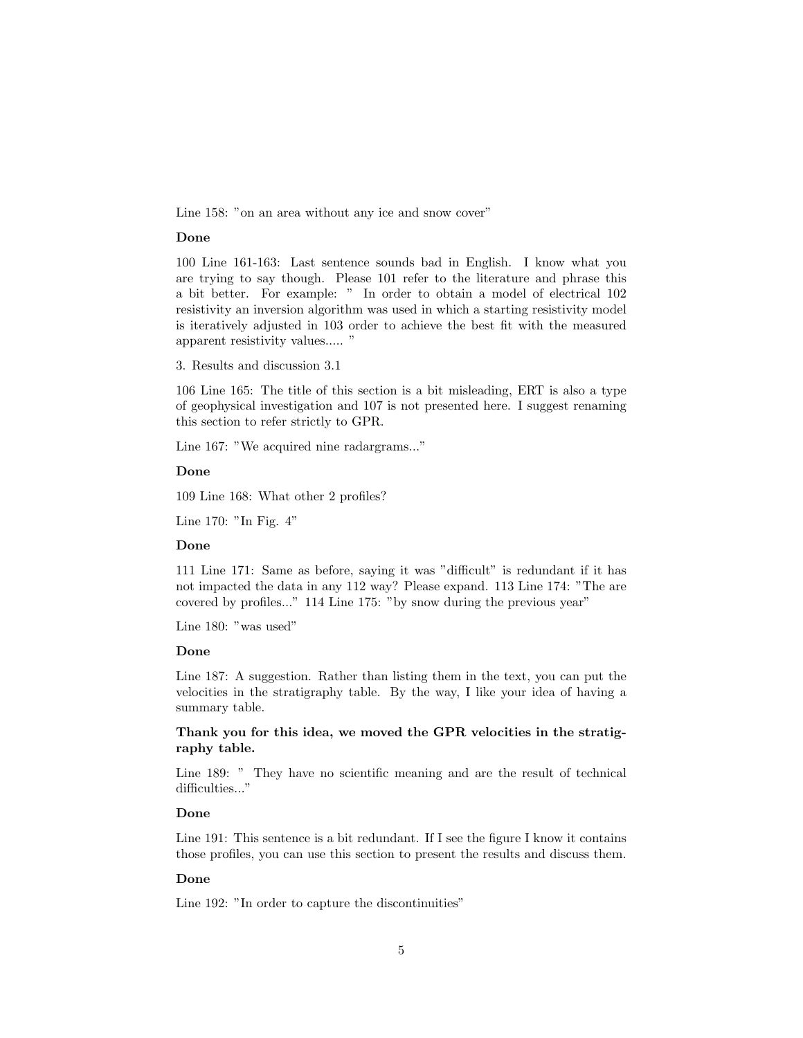Line 158: "on an area without any ice and snow cover"

### Done

100 Line 161-163: Last sentence sounds bad in English. I know what you are trying to say though. Please 101 refer to the literature and phrase this a bit better. For example: " In order to obtain a model of electrical 102 resistivity an inversion algorithm was used in which a starting resistivity model is iteratively adjusted in 103 order to achieve the best fit with the measured apparent resistivity values..... "

3. Results and discussion 3.1

106 Line 165: The title of this section is a bit misleading, ERT is also a type of geophysical investigation and 107 is not presented here. I suggest renaming this section to refer strictly to GPR.

Line 167: "We acquired nine radargrams..."

#### Done

109 Line 168: What other 2 profiles?

Line 170: "In Fig. 4"

# Done

111 Line 171: Same as before, saying it was "difficult" is redundant if it has not impacted the data in any 112 way? Please expand. 113 Line 174: "The are covered by profiles..." 114 Line 175: "by snow during the previous year"

Line 180: "was used"

# Done

Line 187: A suggestion. Rather than listing them in the text, you can put the velocities in the stratigraphy table. By the way, I like your idea of having a summary table.

# Thank you for this idea, we moved the GPR velocities in the stratigraphy table.

Line 189: " They have no scientific meaning and are the result of technical difficulties..."

# Done

Line 191: This sentence is a bit redundant. If I see the figure I know it contains those profiles, you can use this section to present the results and discuss them.

#### Done

Line 192: "In order to capture the discontinuities"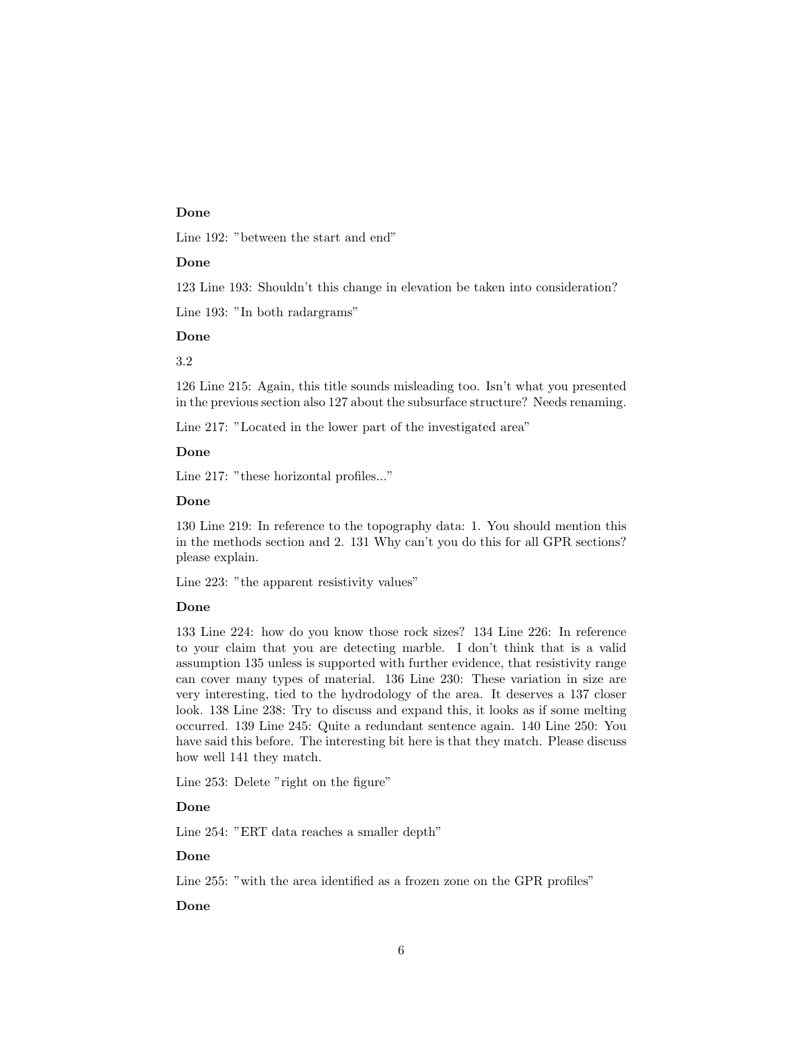### Done

Line 192: "between the start and end"

### Done

123 Line 193: Shouldn't this change in elevation be taken into consideration?

Line 193: "In both radargrams"

## Done

# 3.2

126 Line 215: Again, this title sounds misleading too. Isn't what you presented in the previous section also 127 about the subsurface structure? Needs renaming.

Line 217: "Located in the lower part of the investigated area"

## Done

Line 217: "these horizontal profiles..."

### Done

130 Line 219: In reference to the topography data: 1. You should mention this in the methods section and 2. 131 Why can't you do this for all GPR sections? please explain.

Line 223: "the apparent resistivity values"

#### Done

133 Line 224: how do you know those rock sizes? 134 Line 226: In reference to your claim that you are detecting marble. I don't think that is a valid assumption 135 unless is supported with further evidence, that resistivity range can cover many types of material. 136 Line 230: These variation in size are very interesting, tied to the hydrodology of the area. It deserves a 137 closer look. 138 Line 238: Try to discuss and expand this, it looks as if some melting occurred. 139 Line 245: Quite a redundant sentence again. 140 Line 250: You have said this before. The interesting bit here is that they match. Please discuss how well 141 they match.

Line 253: Delete "right on the figure"

# Done

Line 254: "ERT data reaches a smaller depth"

## Done

Line 255: "with the area identified as a frozen zone on the GPR profiles"

## Done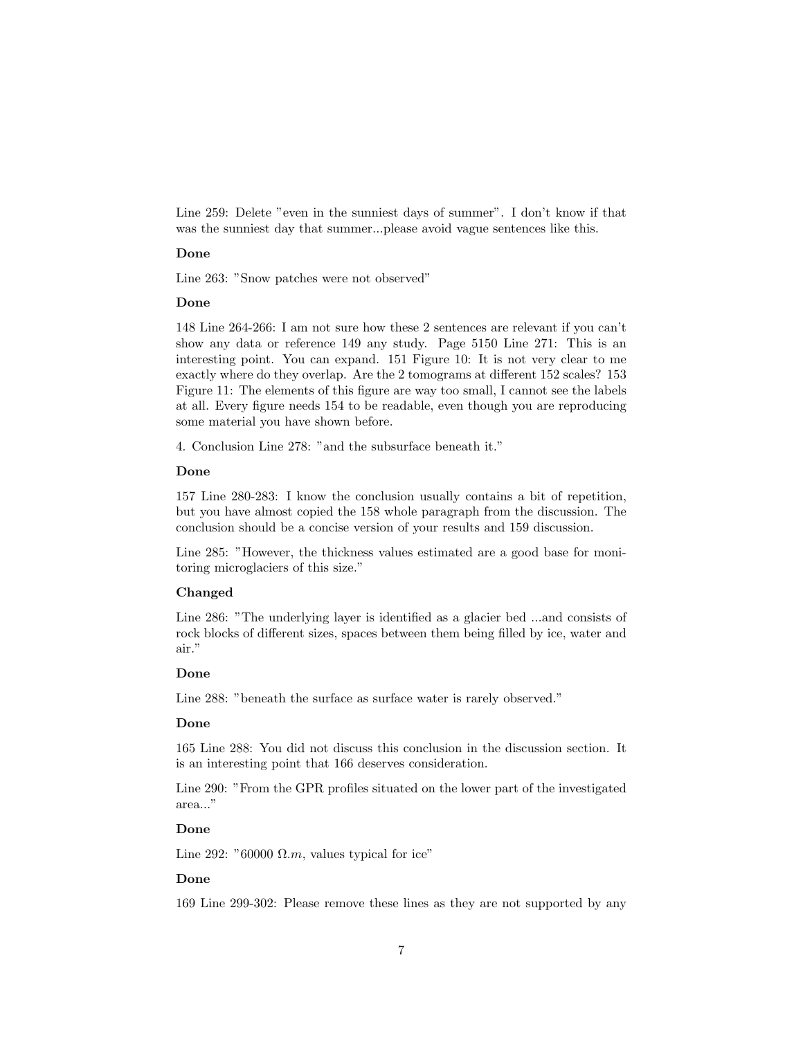Line 259: Delete "even in the sunniest days of summer". I don't know if that was the sunniest day that summer...please avoid vague sentences like this.

# Done

Line 263: "Snow patches were not observed"

#### Done

148 Line 264-266: I am not sure how these 2 sentences are relevant if you can't show any data or reference 149 any study. Page 5150 Line 271: This is an interesting point. You can expand. 151 Figure 10: It is not very clear to me exactly where do they overlap. Are the 2 tomograms at different 152 scales? 153 Figure 11: The elements of this figure are way too small, I cannot see the labels at all. Every figure needs 154 to be readable, even though you are reproducing some material you have shown before.

4. Conclusion Line 278: "and the subsurface beneath it."

#### Done

157 Line 280-283: I know the conclusion usually contains a bit of repetition, but you have almost copied the 158 whole paragraph from the discussion. The conclusion should be a concise version of your results and 159 discussion.

Line 285: "However, the thickness values estimated are a good base for monitoring microglaciers of this size."

# Changed

Line 286: "The underlying layer is identified as a glacier bed ...and consists of rock blocks of different sizes, spaces between them being filled by ice, water and air."

#### Done

Line 288: "beneath the surface as surface water is rarely observed."

## Done

165 Line 288: You did not discuss this conclusion in the discussion section. It is an interesting point that 166 deserves consideration.

Line 290: "From the GPR profiles situated on the lower part of the investigated area..."

### Done

Line 292: " $60000 \Omega.m$ , values typical for ice"

# Done

169 Line 299-302: Please remove these lines as they are not supported by any